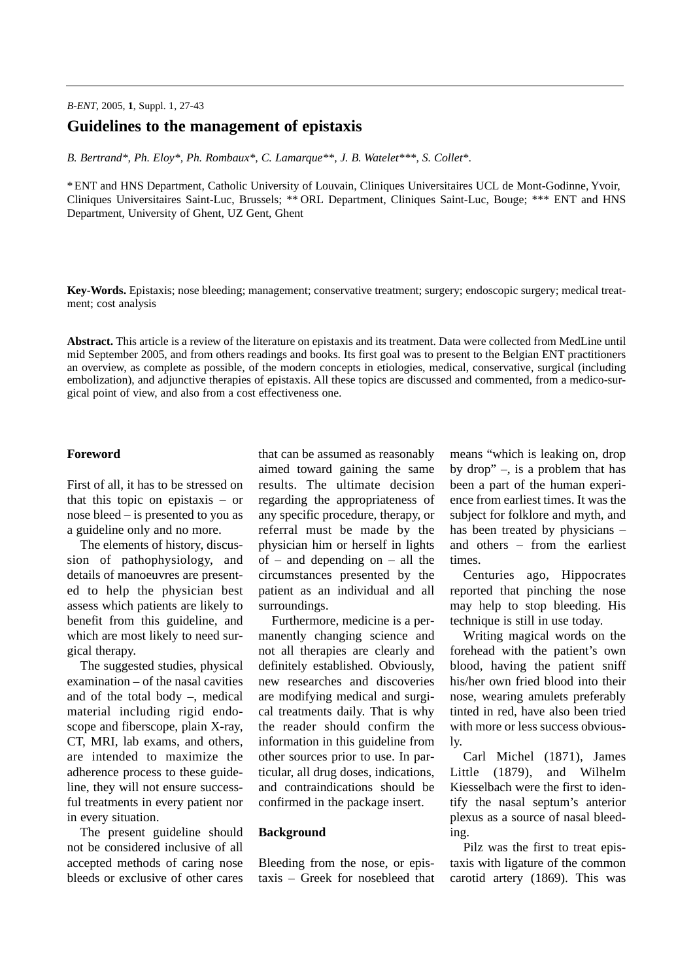# **Guidelines to the management of epistaxis**

*B. Bertrand\*, Ph. Eloy\*, Ph. Rombaux\*, C. Lamarque\*\*, J. B. Watelet\*\*\*, S. Collet\**.

\* ENT and HNS Department, Catholic University of Louvain, Cliniques Universitaires UCL de Mont-Godinne, Yvoir, Cliniques Universitaires Saint-Luc, Brussels; \*\* ORL Department, Cliniques Saint-Luc, Bouge; \*\*\* ENT and HNS Department, University of Ghent, UZ Gent, Ghent

**Key-Words.** Epistaxis; nose bleeding; management; conservative treatment; surgery; endoscopic surgery; medical treatment; cost analysis

**Abstract.** This article is a review of the literature on epistaxis and its treatment. Data were collected from MedLine until mid September 2005, and from others readings and books. Its first goal was to present to the Belgian ENT practitioners an overview, as complete as possible, of the modern concepts in etiologies, medical, conservative, surgical (including embolization), and adjunctive therapies of epistaxis. All these topics are discussed and commented, from a medico-surgical point of view, and also from a cost effectiveness one.

### **Foreword**

First of all, it has to be stressed on that this topic on epistaxis – or nose bleed – is presented to you as a guideline only and no more.

The elements of history, discussion of pathophysiology, and details of manoeuvres are presented to help the physician best assess which patients are likely to benefit from this guideline, and which are most likely to need surgical therapy.

The suggested studies, physical examination – of the nasal cavities and of the total body –, medical material including rigid endoscope and fiberscope, plain X-ray, CT, MRI, lab exams, and others, are intended to maximize the adherence process to these guideline, they will not ensure successful treatments in every patient nor in every situation.

The present guideline should not be considered inclusive of all accepted methods of caring nose bleeds or exclusive of other cares

that can be assumed as reasonably aimed toward gaining the same results. The ultimate decision regarding the appropriateness of any specific procedure, therapy, or referral must be made by the physician him or herself in lights of – and depending on – all the circumstances presented by the patient as an individual and all surroundings.

Furthermore, medicine is a permanently changing science and not all therapies are clearly and definitely established. Obviously, new researches and discoveries are modifying medical and surgical treatments daily. That is why the reader should confirm the information in this guideline from other sources prior to use. In particular, all drug doses, indications, and contraindications should be confirmed in the package insert.

## **Background**

Bleeding from the nose, or epistaxis – Greek for nosebleed that means "which is leaking on, drop by drop" –, is a problem that has been a part of the human experience from earliest times. It was the subject for folklore and myth, and has been treated by physicians – and others – from the earliest times.

Centuries ago, Hippocrates reported that pinching the nose may help to stop bleeding. His technique is still in use today.

Writing magical words on the forehead with the patient's own blood, having the patient sniff his/her own fried blood into their nose, wearing amulets preferably tinted in red, have also been tried with more or less success obviously.

Carl Michel (1871), James Little (1879), and Wilhelm Kiesselbach were the first to identify the nasal septum's anterior plexus as a source of nasal bleeding.

Pilz was the first to treat epistaxis with ligature of the common carotid artery (1869). This was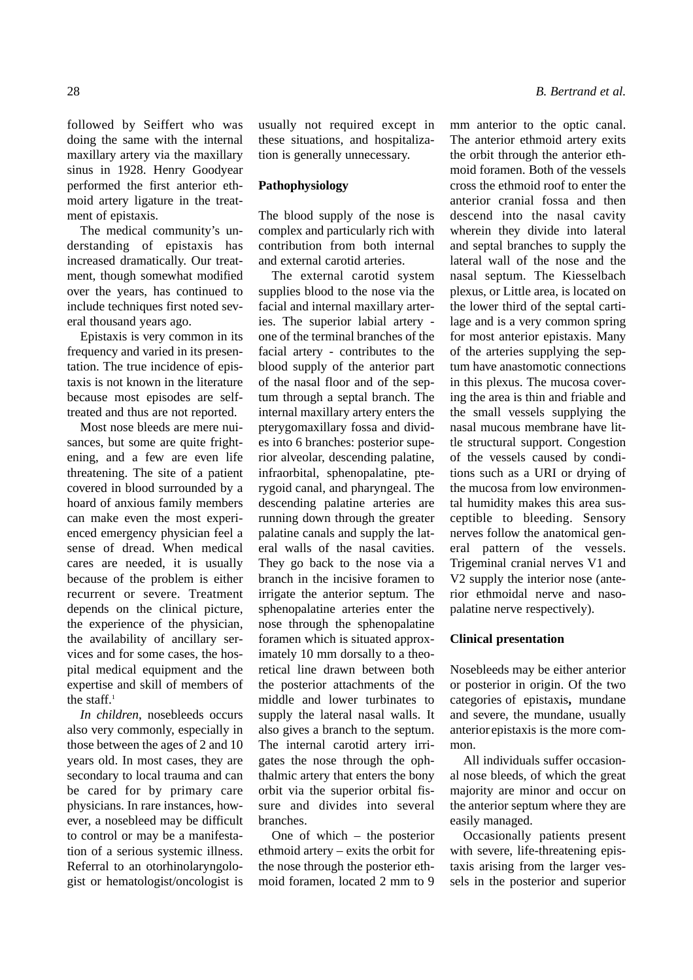followed by Seiffert who was doing the same with the internal maxillary artery via the maxillary sinus in 1928. Henry Goodyear performed the first anterior ethmoid artery ligature in the treatment of epistaxis.

The medical community's understanding of epistaxis has increased dramatically. Our treatment, though somewhat modified over the years, has continued to include techniques first noted several thousand years ago.

Epistaxis is very common in its frequency and varied in its presentation. The true incidence of epistaxis is not known in the literature because most episodes are selftreated and thus are not reported.

Most nose bleeds are mere nuisances, but some are quite frightening, and a few are even life threatening. The site of a patient covered in blood surrounded by a hoard of anxious family members can make even the most experienced emergency physician feel a sense of dread. When medical cares are needed, it is usually because of the problem is either recurrent or severe. Treatment depends on the clinical picture, the experience of the physician, the availability of ancillary services and for some cases, the hospital medical equipment and the expertise and skill of members of the staff. $1$ 

*In children*, nosebleeds occurs also very commonly, especially in those between the ages of 2 and 10 years old. In most cases, they are secondary to local trauma and can be cared for by primary care physicians. In rare instances, however, a nosebleed may be difficult to control or may be a manifestation of a serious systemic illness. Referral to an otorhinolaryngologist or hematologist/oncologist is

usually not required except in these situations, and hospitalization is generally unnecessary.

### **Pathophysiology**

The blood supply of the nose is complex and particularly rich with contribution from both internal and external carotid arteries.

The external carotid system supplies blood to the nose via the facial and internal maxillary arteries. The superior labial artery one of the terminal branches of the facial artery - contributes to the blood supply of the anterior part of the nasal floor and of the septum through a septal branch. The internal maxillary artery enters the pterygomaxillary fossa and divides into 6 branches: posterior superior alveolar, descending palatine, infraorbital, sphenopalatine, pterygoid canal, and pharyngeal. The descending palatine arteries are running down through the greater palatine canals and supply the lateral walls of the nasal cavities. They go back to the nose via a branch in the incisive foramen to irrigate the anterior septum. The sphenopalatine arteries enter the nose through the sphenopalatine foramen which is situated approximately 10 mm dorsally to a theoretical line drawn between both the posterior attachments of the middle and lower turbinates to supply the lateral nasal walls. It also gives a branch to the septum. The internal carotid artery irrigates the nose through the ophthalmic artery that enters the bony orbit via the superior orbital fissure and divides into several branches.

One of which – the posterior ethmoid artery – exits the orbit for the nose through the posterior ethmoid foramen, located 2 mm to 9

mm anterior to the optic canal. The anterior ethmoid artery exits the orbit through the anterior ethmoid foramen. Both of the vessels cross the ethmoid roof to enter the anterior cranial fossa and then descend into the nasal cavity wherein they divide into lateral and septal branches to supply the lateral wall of the nose and the nasal septum. The Kiesselbach plexus, or Little area, is located on the lower third of the septal cartilage and is a very common spring for most anterior epistaxis. Many of the arteries supplying the septum have anastomotic connections in this plexus. The mucosa covering the area is thin and friable and the small vessels supplying the nasal mucous membrane have little structural support. Congestion of the vessels caused by conditions such as a URI or drying of the mucosa from low environmental humidity makes this area susceptible to bleeding. Sensory

nerves follow the anatomical general pattern of the vessels. Trigeminal cranial nerves V1 and V2 supply the interior nose (anterior ethmoidal nerve and nasopalatine nerve respectively).

### **Clinical presentation**

Nosebleeds may be either anterior or posterior in origin. Of the two categories of epistaxis**,** mundane and severe, the mundane, usually anterior epistaxis is the more common.

All individuals suffer occasional nose bleeds, of which the great majority are minor and occur on the anterior septum where they are easily managed.

Occasionally patients present with severe, life-threatening epistaxis arising from the larger vessels in the posterior and superior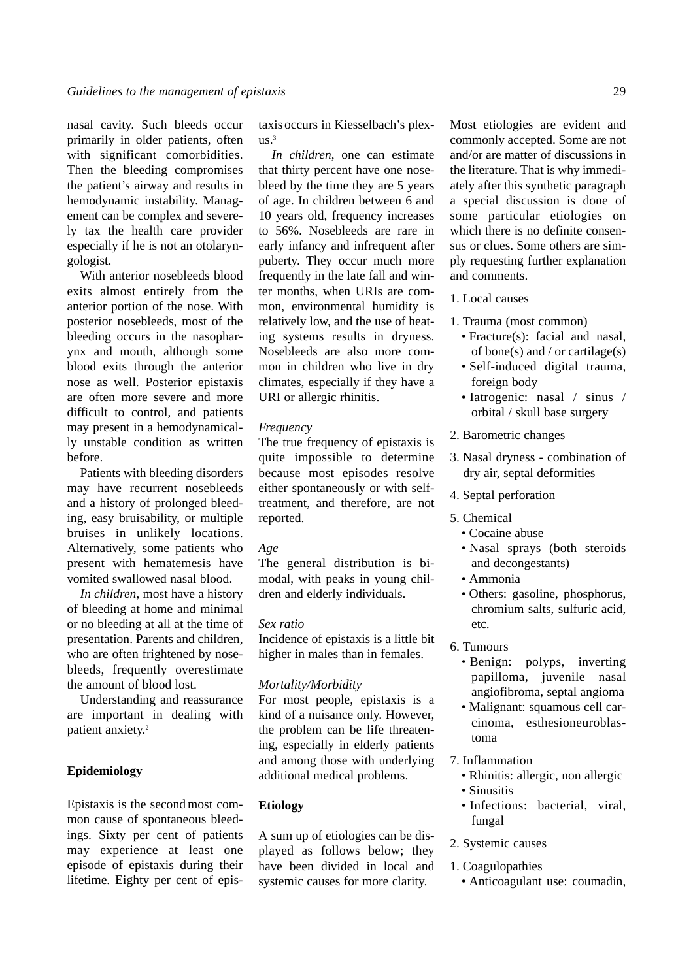nasal cavity. Such bleeds occur primarily in older patients, often with significant comorbidities. Then the bleeding compromises the patient's airway and results in hemodynamic instability. Management can be complex and severely tax the health care provider especially if he is not an otolaryngologist.

With anterior nosebleeds blood exits almost entirely from the anterior portion of the nose. With posterior nosebleeds, most of the bleeding occurs in the nasopharynx and mouth, although some blood exits through the anterior nose as well. Posterior epistaxis are often more severe and more difficult to control, and patients may present in a hemodynamically unstable condition as written before.

Patients with bleeding disorders may have recurrent nosebleeds and a history of prolonged bleeding, easy bruisability, or multiple bruises in unlikely locations. Alternatively, some patients who present with hematemesis have vomited swallowed nasal blood.

*In children*, most have a history of bleeding at home and minimal or no bleeding at all at the time of presentation. Parents and children, who are often frightened by nosebleeds, frequently overestimate the amount of blood lost.

Understanding and reassurance are important in dealing with patient anxiety.<sup>2</sup>

## **Epidemiology**

Epistaxis is the second most common cause of spontaneous bleedings. Sixty per cent of patients may experience at least one episode of epistaxis during their lifetime. Eighty per cent of epistaxis occurs in Kiesselbach's plex- $11S<sup>3</sup>$ 

*In children*, one can estimate that thirty percent have one nosebleed by the time they are 5 years of age. In children between 6 and 10 years old, frequency increases to 56%. Nosebleeds are rare in early infancy and infrequent after puberty. They occur much more frequently in the late fall and winter months, when URIs are common, environmental humidity is relatively low, and the use of heating systems results in dryness. Nosebleeds are also more common in children who live in dry climates, especially if they have a URI or allergic rhinitis.

#### *Frequency*

The true frequency of epistaxis is quite impossible to determine because most episodes resolve either spontaneously or with selftreatment, and therefore, are not reported.

### *Age*

The general distribution is bimodal, with peaks in young children and elderly individuals.

### *Sex ratio*

Incidence of epistaxis is a little bit higher in males than in females.

#### *Mortality/Morbidity*

For most people, epistaxis is a kind of a nuisance only. However, the problem can be life threatening, especially in elderly patients and among those with underlying additional medical problems.

### **Etiology**

A sum up of etiologies can be displayed as follows below; they have been divided in local and systemic causes for more clarity.

Most etiologies are evident and commonly accepted. Some are not and/or are matter of discussions in the literature. That is why immediately after this synthetic paragraph a special discussion is done of some particular etiologies on which there is no definite consensus or clues. Some others are simply requesting further explanation and comments.

## 1. Local causes

- 1. Trauma (most common)
	- Fracture(s): facial and nasal, of bone(s) and / or cartilage(s)
	- Self-induced digital trauma, foreign body
	- Iatrogenic: nasal / sinus / orbital / skull base surgery
- 2. Barometric changes
- 3. Nasal dryness combination of dry air, septal deformities
- 4. Septal perforation
- 5. Chemical
	- Cocaine abuse
	- Nasal sprays (both steroids and decongestants)
	- Ammonia
	- Others: gasoline, phosphorus, chromium salts, sulfuric acid, etc.
- 6. Tumours
	- Benign: polyps, inverting papilloma, juvenile nasal angiofibroma, septal angioma
	- Malignant: squamous cell carcinoma, esthesioneuroblastoma
- 7. Inflammation
	- Rhinitis: allergic, non allergic • Sinusitis
	- Infections: bacterial, viral, fungal
- 2. Systemic causes
- 1. Coagulopathies
	- Anticoagulant use: coumadin,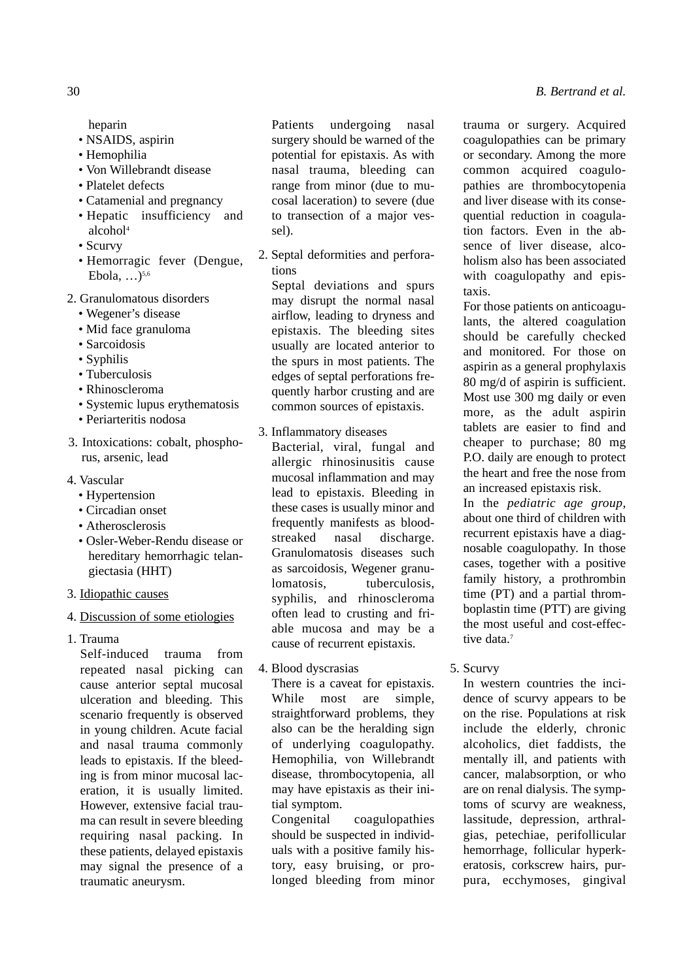heparin

- NSAIDS, aspirin
- Hemophilia
- Von Willebrandt disease
- Platelet defects
- Catamenial and pregnancy
- Hepatic insufficiency and alcohol4
- Scurvy
- Hemorragic fever (Dengue, Ebola  $\sum_{5,6}$
- 2. Granulomatous disorders
	- Wegener's disease
	- Mid face granuloma
	- Sarcoidosis
	- Syphilis
	- Tuberculosis
	- Rhinoscleroma
	- Systemic lupus erythematosis
	- Periarteritis nodosa
- 3. Intoxications: cobalt, phosphorus, arsenic, lead
- 4. Vascular
	- Hypertension
	- Circadian onset
	- Atherosclerosis
	- Osler-Weber-Rendu disease or hereditary hemorrhagic telangiectasia (HHT)
- 3. Idiopathic causes
- 4. Discussion of some etiologies
- 1. Trauma

Self-induced trauma from repeated nasal picking can cause anterior septal mucosal ulceration and bleeding. This scenario frequently is observed in young children. Acute facial and nasal trauma commonly leads to epistaxis. If the bleeding is from minor mucosal laceration, it is usually limited. However, extensive facial trauma can result in severe bleeding requiring nasal packing. In these patients, delayed epistaxis may signal the presence of a traumatic aneurysm.

Patients undergoing nasal surgery should be warned of the potential for epistaxis. As with nasal trauma, bleeding can range from minor (due to mucosal laceration) to severe (due to transection of a major vessel).

2. Septal deformities and perforations

Septal deviations and spurs may disrupt the normal nasal airflow, leading to dryness and epistaxis. The bleeding sites usually are located anterior to the spurs in most patients. The edges of septal perforations frequently harbor crusting and are common sources of epistaxis.

- 3. Inflammatory diseases
	- Bacterial, viral, fungal and allergic rhinosinusitis cause mucosal inflammation and may lead to epistaxis. Bleeding in these cases is usually minor and frequently manifests as bloodstreaked nasal discharge. Granulomatosis diseases such as sarcoidosis, Wegener granulomatosis, tuberculosis, syphilis, and rhinoscleroma often lead to crusting and friable mucosa and may be a cause of recurrent epistaxis.
- 4. Blood dyscrasias

There is a caveat for epistaxis. While most are simple, straightforward problems, they also can be the heralding sign of underlying coagulopathy. Hemophilia, von Willebrandt disease, thrombocytopenia, all may have epistaxis as their initial symptom.

Congenital coagulopathies should be suspected in individuals with a positive family history, easy bruising, or prolonged bleeding from minor

trauma or surgery. Acquired coagulopathies can be primary or secondary. Among the more common acquired coagulopathies are thrombocytopenia and liver disease with its consequential reduction in coagulation factors. Even in the absence of liver disease, alcoholism also has been associated with coagulopathy and epistaxis.

For those patients on anticoagulants, the altered coagulation should be carefully checked and monitored. For those on aspirin as a general prophylaxis 80 mg/d of aspirin is sufficient. Most use 300 mg daily or even more, as the adult aspirin tablets are easier to find and cheaper to purchase; 80 mg P.O. daily are enough to protect the heart and free the nose from an increased epistaxis risk.

In the *pediatric age group*, about one third of children with recurrent epistaxis have a diagnosable coagulopathy. In those cases, together with a positive family history, a prothrombin time (PT) and a partial thromboplastin time (PTT) are giving the most useful and cost-effective data.<sup>7</sup>

5. Scurvy

In western countries the incidence of scurvy appears to be on the rise. Populations at risk include the elderly, chronic alcoholics, diet faddists, the mentally ill, and patients with cancer, malabsorption, or who are on renal dialysis. The symptoms of scurvy are weakness, lassitude, depression, arthralgias, petechiae, perifollicular hemorrhage, follicular hyperkeratosis, corkscrew hairs, purpura, ecchymoses, gingival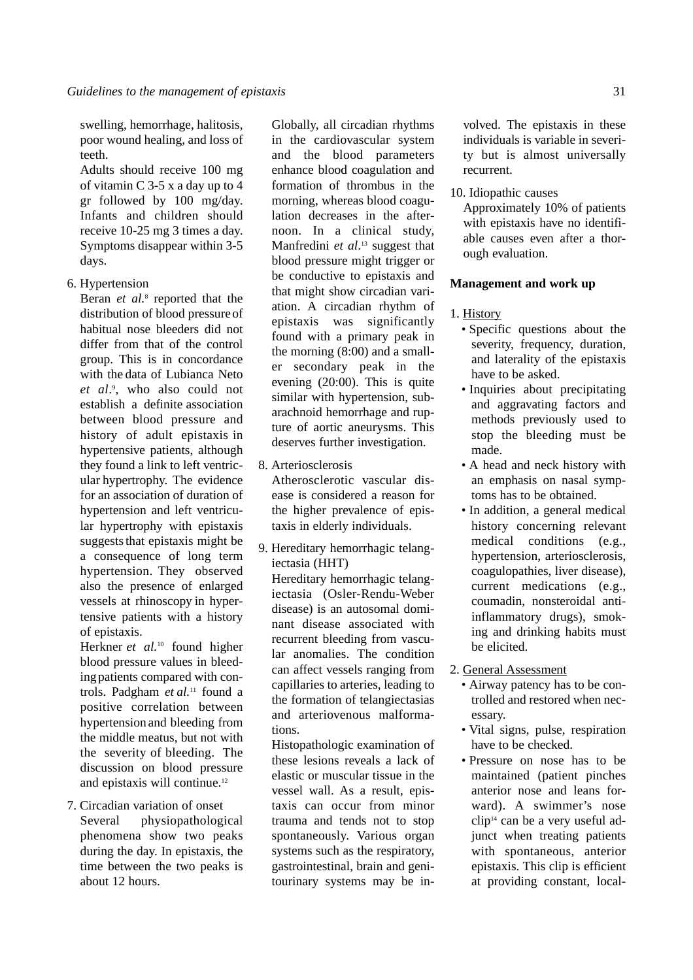swelling, hemorrhage, halitosis, poor wound healing, and loss of teeth.

Adults should receive 100 mg of vitamin C 3-5 x a day up to 4 gr followed by 100 mg/day. Infants and children should receive 10-25 mg 3 times a day. Symptoms disappear within 3-5 days.

6. Hypertension

Beran *et al.*<sup>8</sup> reported that the distribution of blood pressureof habitual nose bleeders did not differ from that of the control group. This is in concordance with the data of Lubianca Neto *et al*. 9 , who also could not establish a definite association between blood pressure and history of adult epistaxis in hypertensive patients, although they found a link to left ventricular hypertrophy. The evidence for an association of duration of hypertension and left ventricular hypertrophy with epistaxis suggests that epistaxis might be a consequence of long term hypertension. They observed also the presence of enlarged vessels at rhinoscopy in hypertensive patients with a history of epistaxis.

Herkner *et al.*<sup>10</sup> found higher blood pressure values in bleedingpatients compared with controls. Padgham *et al.*<sup>11</sup> found a positive correlation between hypertension and bleeding from the middle meatus, but not with the severity of bleeding. The discussion on blood pressure and epistaxis will continue.12

7. Circadian variation of onset Several physiopathological phenomena show two peaks during the day. In epistaxis, the time between the two peaks is about 12 hours.

Globally, all circadian rhythms in the cardiovascular system and the blood parameters enhance blood coagulation and formation of thrombus in the morning, whereas blood coagulation decreases in the afternoon. In a clinical study, Manfredini *et al*. <sup>13</sup> suggest that blood pressure might trigger or be conductive to epistaxis and that might show circadian variation. A circadian rhythm of epistaxis was significantly found with a primary peak in the morning (8:00) and a smaller secondary peak in the evening (20:00). This is quite similar with hypertension, subarachnoid hemorrhage and rupture of aortic aneurysms. This deserves further investigation.

- 8. Arteriosclerosis Atherosclerotic vascular disease is considered a reason for the higher prevalence of epistaxis in elderly individuals.
- 9. Hereditary hemorrhagic telangiectasia (HHT) Hereditary hemorrhagic telangiectasia (Osler-Rendu-Weber disease) is an autosomal dominant disease associated with recurrent bleeding from vascular anomalies. The condition can affect vessels ranging from capillaries to arteries, leading to the formation of telangiectasias and arteriovenous malformations.

Histopathologic examination of these lesions reveals a lack of elastic or muscular tissue in the vessel wall. As a result, epistaxis can occur from minor trauma and tends not to stop spontaneously. Various organ systems such as the respiratory, gastrointestinal, brain and genitourinary systems may be in-

volved. The epistaxis in these individuals is variable in severity but is almost universally recurrent.

## 10. Idiopathic causes

Approximately 10% of patients with epistaxis have no identifiable causes even after a thorough evaluation.

## **Management and work up**

## 1. History

- Specific questions about the severity, frequency, duration, and laterality of the epistaxis have to be asked.
- Inquiries about precipitating and aggravating factors and methods previously used to stop the bleeding must be made.
- A head and neck history with an emphasis on nasal symptoms has to be obtained.
- In addition, a general medical history concerning relevant medical conditions (e.g., hypertension, arteriosclerosis, coagulopathies, liver disease), current medications (e.g., coumadin, nonsteroidal antiinflammatory drugs), smoking and drinking habits must be elicited.

### 2. General Assessment

- Airway patency has to be controlled and restored when necessary.
- Vital signs, pulse, respiration have to be checked.
- Pressure on nose has to be maintained (patient pinches anterior nose and leans forward). A swimmer's nose clip14 can be a very useful adjunct when treating patients with spontaneous, anterior epistaxis. This clip is efficient at providing constant, local-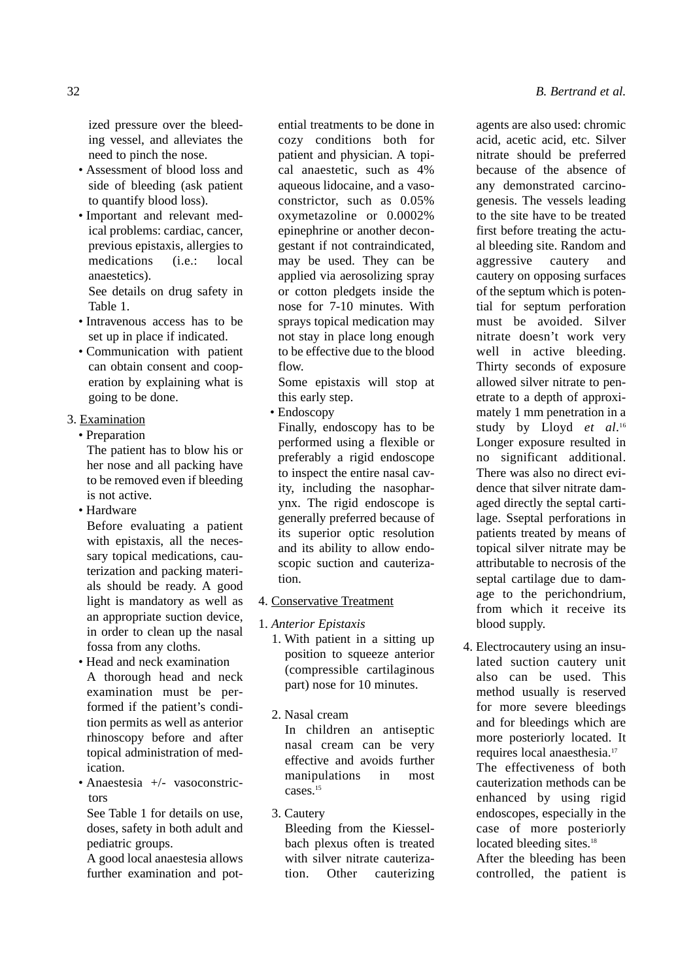ized pressure over the bleeding vessel, and alleviates the need to pinch the nose.

- Assessment of blood loss and side of bleeding (ask patient to quantify blood loss).
- Important and relevant medical problems: cardiac, cancer, previous epistaxis, allergies to medications (i.e.: local anaestetics). See details on drug safety in Table 1.
- Intravenous access has to be set up in place if indicated.
- Communication with patient can obtain consent and cooperation by explaining what is going to be done.
- 3. Examination
- Preparation

The patient has to blow his or her nose and all packing have to be removed even if bleeding is not active.

• Hardware

Before evaluating a patient with epistaxis, all the necessary topical medications, cauterization and packing materials should be ready. A good light is mandatory as well as an appropriate suction device, in order to clean up the nasal fossa from any cloths.

- Head and neck examination A thorough head and neck examination must be performed if the patient's condition permits as well as anterior rhinoscopy before and after topical administration of medication.
- Anaestesia +/- vasoconstrictors

See Table 1 for details on use, doses, safety in both adult and pediatric groups.

A good local anaestesia allows further examination and potential treatments to be done in cozy conditions both for patient and physician. A topical anaestetic, such as 4% aqueous lidocaine, and a vasoconstrictor, such as 0.05% oxymetazoline or 0.0002% epinephrine or another decongestant if not contraindicated, may be used. They can be applied via aerosolizing spray or cotton pledgets inside the nose for 7-10 minutes. With sprays topical medication may not stay in place long enough to be effective due to the blood flow.

Some epistaxis will stop at this early step.

• Endoscopy

Finally, endoscopy has to be performed using a flexible or preferably a rigid endoscope to inspect the entire nasal cavity, including the nasopharynx. The rigid endoscope is generally preferred because of its superior optic resolution and its ability to allow endoscopic suction and cauterization.

- 4. Conservative Treatment
- 1. *Anterior Epistaxis*
	- 1. With patient in a sitting up position to squeeze anterior (compressible cartilaginous part) nose for 10 minutes.
	- 2. Nasal cream In children an antiseptic nasal cream can be very effective and avoids further manipulations in most cases.<sup>15</sup>
	- 3. Cautery

Bleeding from the Kiesselbach plexus often is treated with silver nitrate cauterization. Other cauterizing agents are also used: chromic acid, acetic acid, etc. Silver nitrate should be preferred because of the absence of any demonstrated carcinogenesis. The vessels leading to the site have to be treated first before treating the actual bleeding site. Random and aggressive cautery and cautery on opposing surfaces of the septum which is potential for septum perforation must be avoided. Silver nitrate doesn't work very well in active bleeding. Thirty seconds of exposure allowed silver nitrate to penetrate to a depth of approximately 1 mm penetration in a study by Lloyd *et al*. 16 Longer exposure resulted in no significant additional. There was also no direct evidence that silver nitrate damaged directly the septal cartilage. Sseptal perforations in patients treated by means of topical silver nitrate may be attributable to necrosis of the septal cartilage due to damage to the perichondrium, from which it receive its blood supply.

4. Electrocautery using an insulated suction cautery unit also can be used. This method usually is reserved for more severe bleedings and for bleedings which are more posteriorly located. It requires local anaesthesia.17 The effectiveness of both cauterization methods can be enhanced by using rigid endoscopes, especially in the case of more posteriorly located bleeding sites.<sup>18</sup>

After the bleeding has been controlled, the patient is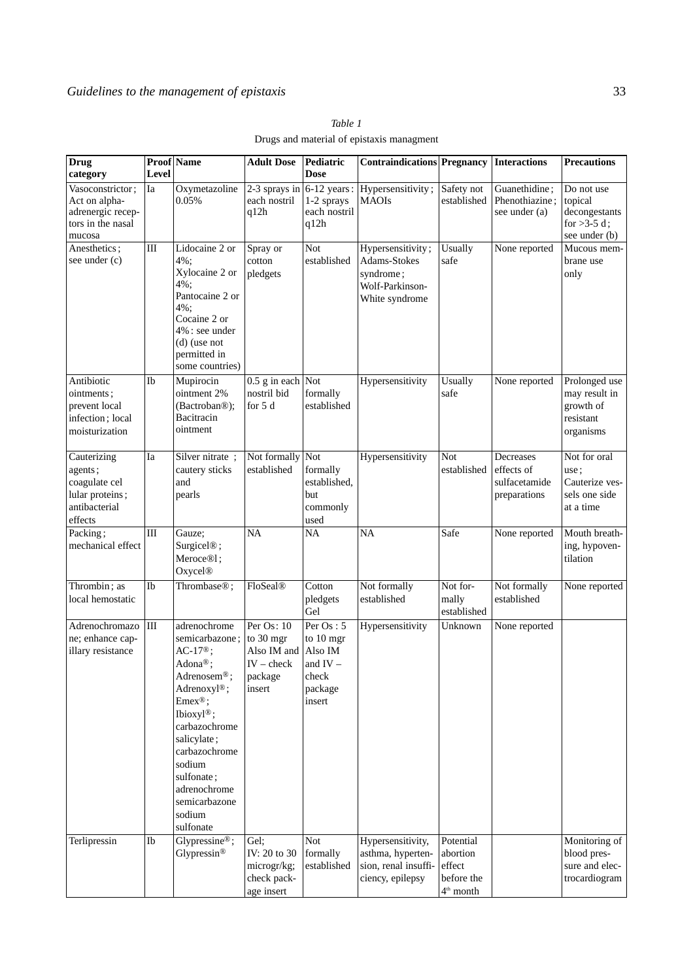| Drug<br>category                                                                       | Level     | <b>Proof</b> Name                                                                                                                                                                                                                                                                 | <b>Adult Dose</b>                                                | Pediatric<br><b>Dose</b>                                                        | <b>Contraindications Pregnancy</b>                                                  |                                                              | Interactions                                             | <b>Precautions</b>                                                       |
|----------------------------------------------------------------------------------------|-----------|-----------------------------------------------------------------------------------------------------------------------------------------------------------------------------------------------------------------------------------------------------------------------------------|------------------------------------------------------------------|---------------------------------------------------------------------------------|-------------------------------------------------------------------------------------|--------------------------------------------------------------|----------------------------------------------------------|--------------------------------------------------------------------------|
| Vasoconstrictor;<br>Act on alpha-<br>adrenergic recep-<br>tors in the nasal<br>mucosa  | Ia        | Oxymetazoline<br>0.05%                                                                                                                                                                                                                                                            | 2-3 sprays in<br>each nostril<br>q12h                            | 6-12 years:<br>1-2 sprays<br>each nostril<br>q12h                               | Hypersensitivity;<br><b>MAOIs</b>                                                   | Safety not<br>established                                    | Guanethidine;<br>Phenothiazine;<br>see under (a)         | Do not use<br>topical<br>decongestants<br>for $>3-5$ d;<br>see under (b) |
| Anesthetics;<br>see under (c)                                                          | $\rm III$ | Lidocaine 2 or<br>4%;<br>Xylocaine 2 or<br>4%:<br>Pantocaine 2 or<br>4%:<br>Cocaine 2 or<br>4% : see under<br>$(d)$ (use not<br>permitted in<br>some countries)                                                                                                                   | Spray or<br>cotton<br>pledgets                                   | Not<br>established                                                              | Hypersensitivity;<br>Adams-Stokes<br>syndrome;<br>Wolf-Parkinson-<br>White syndrome | Usually<br>safe                                              | None reported                                            | Mucous mem-<br>brane use<br>only                                         |
| Antibiotic<br>ointments;<br>prevent local<br>infection; local<br>moisturization        | Ib        | Mupirocin<br>ointment 2%<br>(Bactroban®);<br>Bacitracin<br>ointment                                                                                                                                                                                                               | 0.5 g in each Not<br>nostril bid<br>for 5 d                      | formally<br>established                                                         | Hypersensitivity                                                                    | Usually<br>safe                                              | None reported                                            | Prolonged use<br>may result in<br>growth of<br>resistant<br>organisms    |
| Cauterizing<br>agents;<br>coagulate cel<br>lular proteins;<br>antibacterial<br>effects | Ia        | Silver nitrate;<br>cautery sticks<br>and<br>pearls                                                                                                                                                                                                                                | Not formally<br>established                                      | Not<br>formally<br>established,<br>but<br>commonly<br>used                      | Hypersensitivity                                                                    | Not<br>established                                           | Decreases<br>effects of<br>sulfacetamide<br>preparations | Not for oral<br>use;<br>Cauterize ves-<br>sels one side<br>at a time     |
| Packing;<br>mechanical effect                                                          | $\rm III$ | Gauze;<br>Surgicel <sup>®</sup> ;<br>Meroce <sup>®1</sup> ;<br>Oxycel <sup>®</sup>                                                                                                                                                                                                | <b>NA</b>                                                        | <b>NA</b>                                                                       | <b>NA</b>                                                                           | Safe                                                         | None reported                                            | Mouth breath-<br>ing, hypoven-<br>tilation                               |
| Thrombin; as<br>local hemostatic                                                       | Ib        | Thrombase <sup>®</sup> ;                                                                                                                                                                                                                                                          | FloSeal®                                                         | Cotton<br>pledgets<br>Gel                                                       | Not formally<br>established                                                         | Not for-<br>mally<br>established                             | Not formally<br>established                              | None reported                                                            |
| Adrenochromazo<br>ne; enhance cap-<br>illary resistance                                | $\rm III$ | adrenochrome<br>semicarbazone; to 30 mgr<br>$AC-17®$ ;<br>Adona®;<br>Adrenosem <sup>®</sup> ;<br>Adrenoxyl®;<br>$Emex^{\circledR};$<br>Ibioxyl®;<br>carbazochrome<br>salicylate;<br>carbazochrome<br>sodium<br>sulfonate;<br>adrenochrome<br>semicarbazone<br>sodium<br>sulfonate | Per Os: 10<br>Also IM and<br>$IV - check$<br>package<br>insert   | Per $Os: 5$<br>to 10 mgr<br>Also IM<br>and $IV -$<br>check<br>package<br>insert | Hypersensitivity                                                                    | Unknown                                                      | None reported                                            |                                                                          |
| Terlipressin                                                                           | Ib        | Glypressine®;<br>Glypressin®                                                                                                                                                                                                                                                      | Gel;<br>IV: 20 to 30<br>microgr/kg;<br>check pack-<br>age insert | <b>Not</b><br>formally<br>established                                           | Hypersensitivity,<br>asthma, hyperten-<br>sion, renal insuffi-<br>ciency, epilepsy  | Potential<br>abortion<br>effect<br>before the<br>$4th$ month |                                                          | Monitoring of<br>blood pres-<br>sure and elec-<br>trocardiogram          |

*Table 1* Drugs and material of epistaxis managment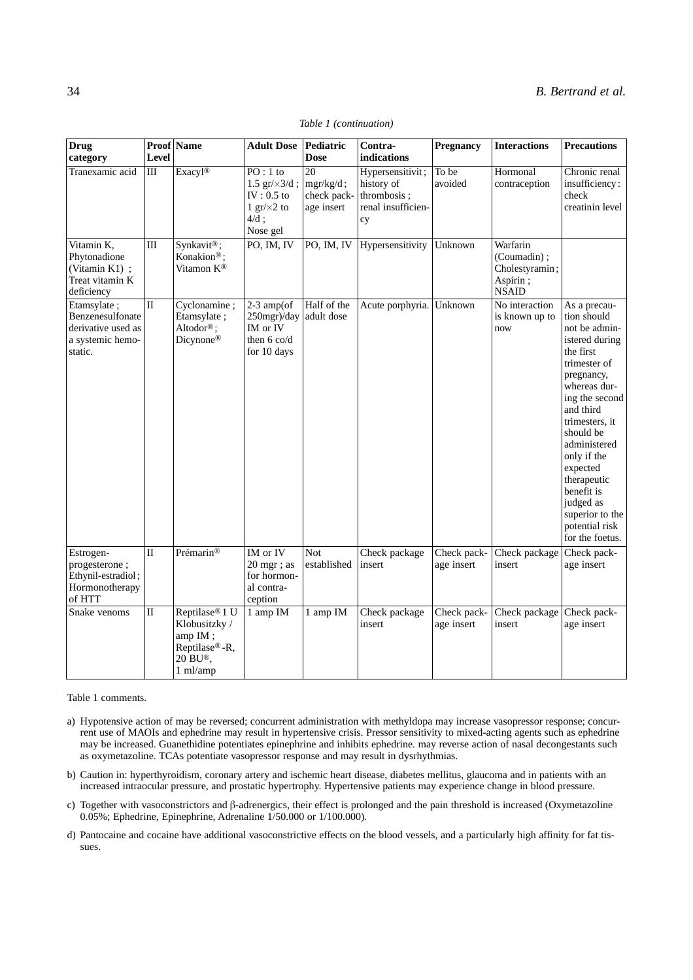| <b>Drug</b><br>category                                                              | <b>Level</b> | Proof Name                                                                                               | <b>Adult Dose</b>                                                                           | Pediatric<br><b>Dose</b>                        | Contra-<br>indications                                                    | <b>Pregnancy</b>          | <b>Interactions</b>                                                   | <b>Precautions</b>                                                                                                                                                                                                                                                                                                                   |
|--------------------------------------------------------------------------------------|--------------|----------------------------------------------------------------------------------------------------------|---------------------------------------------------------------------------------------------|-------------------------------------------------|---------------------------------------------------------------------------|---------------------------|-----------------------------------------------------------------------|--------------------------------------------------------------------------------------------------------------------------------------------------------------------------------------------------------------------------------------------------------------------------------------------------------------------------------------|
| Tranexamic acid                                                                      | III          | Exacyl®                                                                                                  | $PO:1$ to<br>1.5 $gr/x3/d$ ;<br>IV : $0.5$ to<br>1 gr/ $\times$ 2 to<br>$4/d$ ;<br>Nose gel | 20<br>$mgr/kg/d$ ;<br>check pack-<br>age insert | Hypersensitivit;<br>history of<br>thrombosis;<br>renal insufficien-<br>cy | To be<br>avoided          | Hormonal<br>contraception                                             | Chronic renal<br>insufficiency:<br>check<br>creatinin level                                                                                                                                                                                                                                                                          |
| Vitamin K,<br>Phytonadione<br>(Vitamin K1) ;<br>Treat vitamin K<br>deficiency        | $\rm III$    | Synkavit®;<br>Konakion <sup>®</sup> ;<br>Vitamon K®                                                      | PO, IM, IV                                                                                  | PO, IM, IV                                      | Hypersensitivity                                                          | Unknown                   | Warfarin<br>(Coumadin);<br>Cholestyramin;<br>Aspirin;<br><b>NSAID</b> |                                                                                                                                                                                                                                                                                                                                      |
| Etamsylate;<br>Benzenesulfonate<br>derivative used as<br>a systemic hemo-<br>static. | $\mathbf{I}$ | Cyclonamine;<br>Etamsylate;<br>Altodor®;<br>Dicynone®                                                    | $2-3$ amp(of<br>250mgr)/day<br>IM or IV<br>then 6 co/d<br>for 10 days                       | Half of the<br>adult dose                       | Acute porphyria. Unknown                                                  |                           | No interaction<br>is known up to<br>now                               | As a precau-<br>tion should<br>not be admin-<br>istered during<br>the first<br>trimester of<br>pregnancy,<br>whereas dur-<br>ing the second<br>and third<br>trimesters, it<br>should be<br>administered<br>only if the<br>expected<br>therapeutic<br>benefit is<br>judged as<br>superior to the<br>potential risk<br>for the foetus. |
| Estrogen-<br>progesterone;<br>Ethynil-estradiol;<br>Hormonotherapy<br>of HTT         | $\Pi$        | Prémarin®                                                                                                | IM or IV<br>$20$ mgr; as<br>for hormon-<br>al contra-<br>ception                            | Not.<br>established                             | Check package<br>insert                                                   | Check pack-<br>age insert | Check package<br>insert                                               | Check pack-<br>age insert                                                                                                                                                                                                                                                                                                            |
| Snake venoms                                                                         | $\mathbf{I}$ | Reptilase <sup>®</sup> 1 U<br>Klobusitzky /<br>amp IM;<br>Reptilase®-R,<br>20 BU®,<br>$1 \text{ ml/amp}$ | 1 amp IM                                                                                    | 1 amp IM                                        | Check package<br>insert                                                   | Check pack-<br>age insert | Check package<br>insert                                               | Check pack-<br>age insert                                                                                                                                                                                                                                                                                                            |

#### *Table 1 (continuation)*

Table 1 comments.

- a) Hypotensive action of may be reversed; concurrent administration with methyldopa may increase vasopressor response; concurrent use of MAOIs and ephedrine may result in hypertensive crisis. Pressor sensitivity to mixed-acting agents such as ephedrine may be increased. Guanethidine potentiates epinephrine and inhibits ephedrine. may reverse action of nasal decongestants such as oxymetazoline. TCAs potentiate vasopressor response and may result in dysrhythmias.
- b) Caution in: hyperthyroidism, coronary artery and ischemic heart disease, diabetes mellitus, glaucoma and in patients with an increased intraocular pressure, and prostatic hypertrophy. Hypertensive patients may experience change in blood pressure.
- c) Together with vasoconstrictors and  $\beta$ -adrenergics, their effect is prolonged and the pain threshold is increased (Oxymetazoline 0.05%; Ephedrine, Epinephrine, Adrenaline 1/50.000 or 1/100.000).
- d) Pantocaine and cocaine have additional vasoconstrictive effects on the blood vessels, and a particularly high affinity for fat tissues.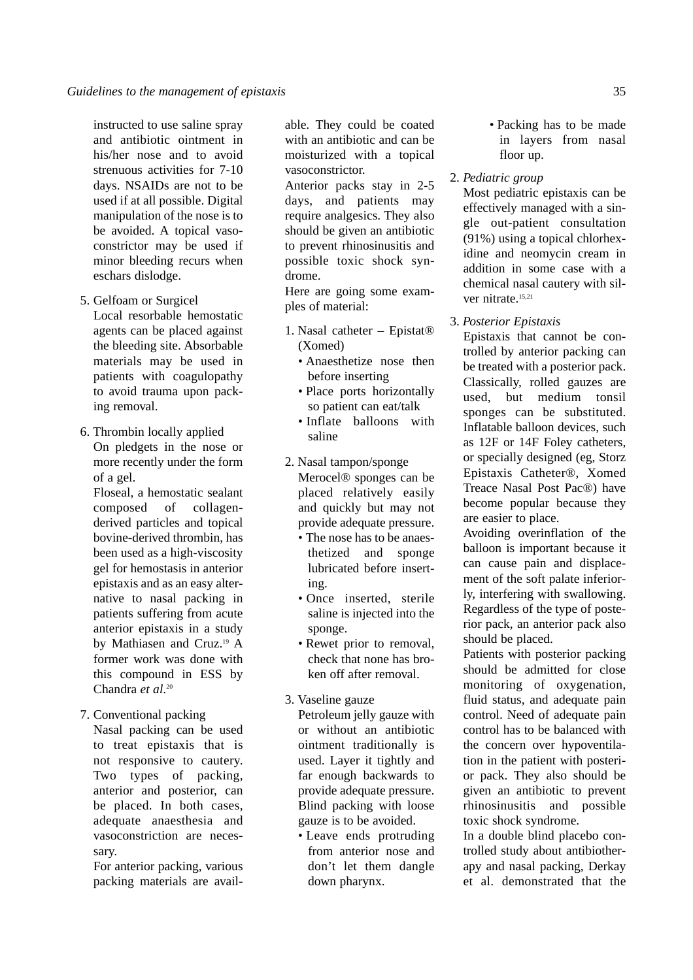instructed to use saline spray and antibiotic ointment in his/her nose and to avoid strenuous activities for 7-10 days. NSAIDs are not to be used if at all possible. Digital manipulation of the nose is to be avoided. A topical vasoconstrictor may be used if minor bleeding recurs when eschars dislodge.

5. Gelfoam or Surgicel

Local resorbable hemostatic agents can be placed against the bleeding site. Absorbable materials may be used in patients with coagulopathy to avoid trauma upon packing removal.

6. Thrombin locally applied On pledgets in the nose or more recently under the form of a gel.

Floseal, a hemostatic sealant composed of collagenderived particles and topical bovine-derived thrombin, has been used as a high-viscosity gel for hemostasis in anterior epistaxis and as an easy alternative to nasal packing in patients suffering from acute anterior epistaxis in a study by Mathiasen and Cruz.19 A former work was done with this compound in ESS by Chandra *et al*. 20

- 7. Conventional packing
	- Nasal packing can be used to treat epistaxis that is not responsive to cautery. Two types of packing, anterior and posterior, can be placed. In both cases, adequate anaesthesia and vasoconstriction are necessary.

For anterior packing, various packing materials are available. They could be coated with an antibiotic and can be moisturized with a topical vasoconstrictor.

Anterior packs stay in 2-5 days, and patients may require analgesics. They also should be given an antibiotic to prevent rhinosinusitis and possible toxic shock syndrome.

Here are going some examples of material:

- 1. Nasal catheter Epistat® (Xomed)
	- Anaesthetize nose then before inserting
	- Place ports horizontally so patient can eat/talk
	- Inflate balloons with saline
- 2. Nasal tampon/sponge Merocel® sponges can be placed relatively easily and quickly but may not provide adequate pressure.
	- The nose has to be anaesthetized and sponge lubricated before inserting.
	- Once inserted, sterile saline is injected into the sponge.
	- Rewet prior to removal, check that none has broken off after removal.
- 3. Vaseline gauze Petroleum jelly gauze with or without an antibiotic ointment traditionally is used. Layer it tightly and far enough backwards to provide adequate pressure. Blind packing with loose gauze is to be avoided.
	- Leave ends protruding from anterior nose and don't let them dangle down pharynx.
- Packing has to be made in layers from nasal floor up.
- 2. *Pediatric group*

Most pediatric epistaxis can be effectively managed with a single out-patient consultation (91%) using a topical chlorhexidine and neomycin cream in addition in some case with a chemical nasal cautery with silver nitrate.<sup>15,21</sup>

3. *Posterior Epistaxis*

Epistaxis that cannot be controlled by anterior packing can be treated with a posterior pack. Classically, rolled gauzes are used, but medium tonsil sponges can be substituted. Inflatable balloon devices, such as 12F or 14F Foley catheters, or specially designed (eg, Storz Epistaxis Catheter®, Xomed Treace Nasal Post Pac®) have become popular because they are easier to place.

Avoiding overinflation of the balloon is important because it can cause pain and displacement of the soft palate inferiorly, interfering with swallowing. Regardless of the type of posterior pack, an anterior pack also should be placed.

Patients with posterior packing should be admitted for close monitoring of oxygenation, fluid status, and adequate pain control. Need of adequate pain control has to be balanced with the concern over hypoventilation in the patient with posterior pack. They also should be given an antibiotic to prevent rhinosinusitis and possible toxic shock syndrome.

In a double blind placebo controlled study about antibiotherapy and nasal packing, Derkay et al. demonstrated that the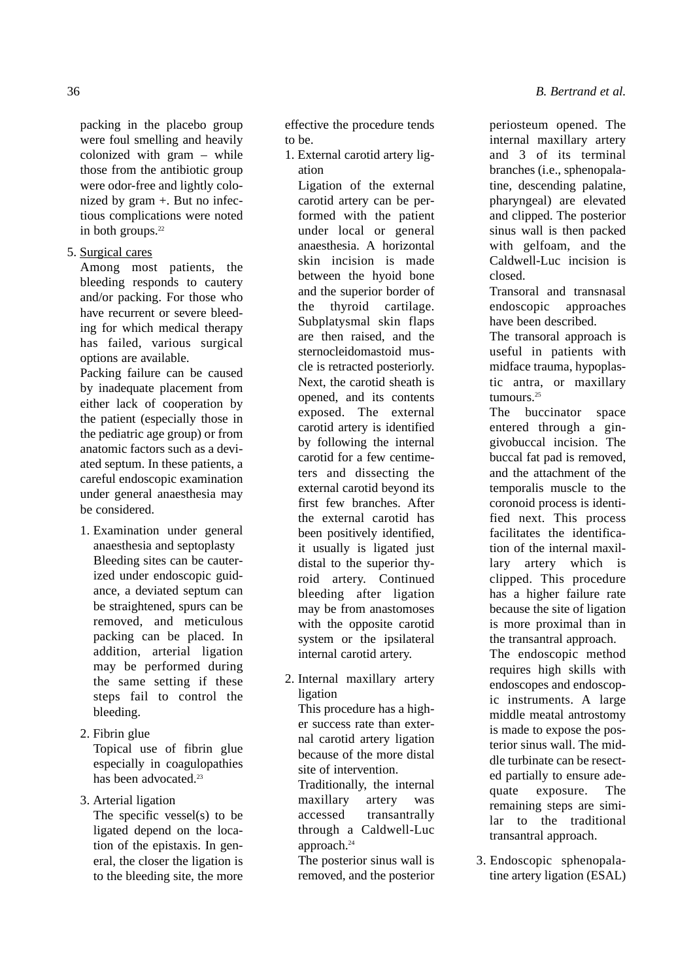packing in the placebo group were foul smelling and heavily colonized with gram – while those from the antibiotic group were odor-free and lightly colonized by gram +. But no infectious complications were noted in both groups.<sup>22</sup>

5. Surgical cares

Among most patients, the bleeding responds to cautery and/or packing. For those who have recurrent or severe bleeding for which medical therapy has failed, various surgical options are available.

Packing failure can be caused by inadequate placement from either lack of cooperation by the patient (especially those in the pediatric age group) or from anatomic factors such as a deviated septum. In these patients, a careful endoscopic examination under general anaesthesia may be considered.

- 1. Examination under general anaesthesia and septoplasty Bleeding sites can be cauterized under endoscopic guidance, a deviated septum can be straightened, spurs can be removed, and meticulous packing can be placed. In addition, arterial ligation may be performed during the same setting if these steps fail to control the bleeding.
- 2. Fibrin glue

Topical use of fibrin glue especially in coagulopathies has been advocated.<sup>23</sup>

3. Arterial ligation

The specific vessel(s) to be ligated depend on the location of the epistaxis. In general, the closer the ligation is to the bleeding site, the more

effective the procedure tends to be.

1. External carotid artery ligation

Ligation of the external carotid artery can be performed with the patient under local or general anaesthesia. A horizontal skin incision is made between the hyoid bone and the superior border of the thyroid cartilage. Subplatysmal skin flaps are then raised, and the sternocleidomastoid muscle is retracted posteriorly. Next, the carotid sheath is opened, and its contents exposed. The external carotid artery is identified by following the internal carotid for a few centimeters and dissecting the external carotid beyond its first few branches. After the external carotid has been positively identified, it usually is ligated just distal to the superior thyroid artery. Continued bleeding after ligation may be from anastomoses with the opposite carotid system or the ipsilateral internal carotid artery.

2. Internal maxillary artery ligation

This procedure has a higher success rate than external carotid artery ligation because of the more distal site of intervention. Traditionally, the internal maxillary artery was accessed transantrally through a Caldwell-Luc

The posterior sinus wall is removed, and the posterior

approach.<sup>24</sup>

periosteum opened. The internal maxillary artery and 3 of its terminal branches (i.e., sphenopalatine, descending palatine, pharyngeal) are elevated and clipped. The posterior sinus wall is then packed with gelfoam, and the Caldwell-Luc incision is closed.

Transoral and transnasal endoscopic approaches have been described.

The transoral approach is useful in patients with midface trauma, hypoplastic antra, or maxillary tumours<sup>25</sup>

The buccinator space entered through a gingivobuccal incision. The buccal fat pad is removed, and the attachment of the temporalis muscle to the coronoid process is identified next. This process facilitates the identification of the internal maxillary artery which is clipped. This procedure has a higher failure rate because the site of ligation is more proximal than in the transantral approach.

The endoscopic method requires high skills with endoscopes and endoscopic instruments. A large middle meatal antrostomy is made to expose the posterior sinus wall. The middle turbinate can be resected partially to ensure adequate exposure. The remaining steps are similar to the traditional transantral approach.

3. Endoscopic sphenopalatine artery ligation (ESAL)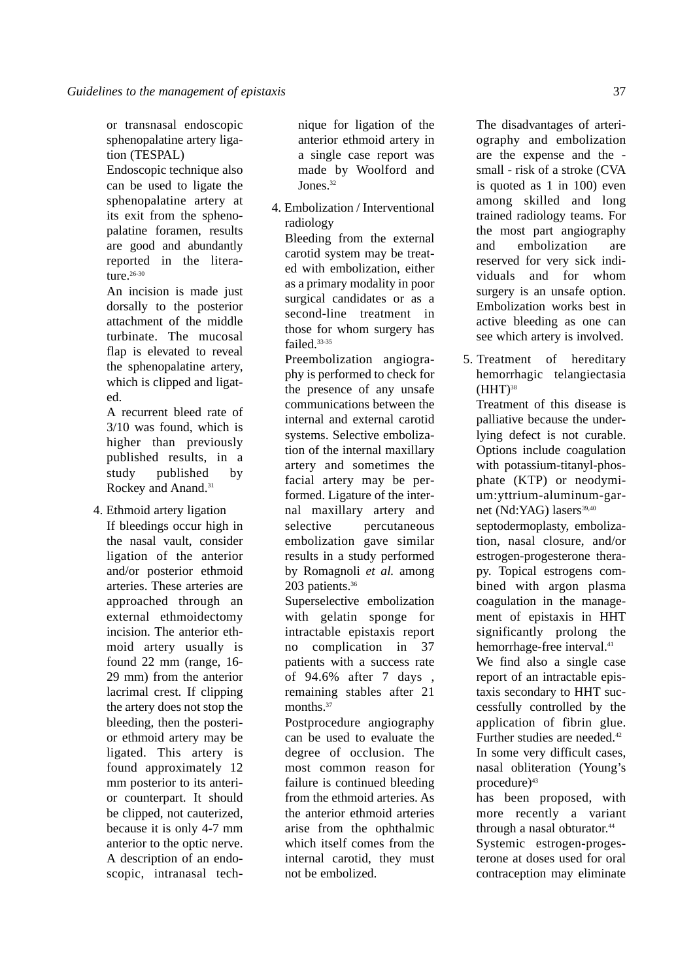or transnasal endoscopic sphenopalatine artery ligation (TESPAL)

Endoscopic technique also can be used to ligate the sphenopalatine artery at its exit from the sphenopalatine foramen, results are good and abundantly reported in the literature.<sup>26-30</sup>

An incision is made just dorsally to the posterior attachment of the middle turbinate. The mucosal flap is elevated to reveal the sphenopalatine artery, which is clipped and ligated.

A recurrent bleed rate of 3/10 was found, which is higher than previously published results, in a study published by Rockey and Anand.<sup>31</sup>

4. Ethmoid artery ligation If bleedings occur high in the nasal vault, consider ligation of the anterior and/or posterior ethmoid arteries. These arteries are approached through an external ethmoidectomy incision. The anterior ethmoid artery usually is found 22 mm (range, 16- 29 mm) from the anterior lacrimal crest. If clipping the artery does not stop the bleeding, then the posterior ethmoid artery may be ligated. This artery is found approximately 12 mm posterior to its anterior counterpart. It should be clipped, not cauterized, because it is only 4-7 mm anterior to the optic nerve. A description of an endoscopic, intranasal technique for ligation of the anterior ethmoid artery in a single case report was made by Woolford and Jones<sup>32</sup>

4. Embolization / Interventional radiology

Bleeding from the external carotid system may be treated with embolization, either as a primary modality in poor surgical candidates or as a second-line treatment in those for whom surgery has failed<sup>33-35</sup>

Preembolization angiography is performed to check for the presence of any unsafe communications between the internal and external carotid systems. Selective embolization of the internal maxillary artery and sometimes the facial artery may be performed. Ligature of the internal maxillary artery and selective percutaneous embolization gave similar results in a study performed by Romagnoli *et al.* among 203 patients.<sup>36</sup>

Superselective embolization with gelatin sponge for intractable epistaxis report no complication in 37 patients with a success rate of 94.6% after 7 days , remaining stables after 21 months.<sup>37</sup>

Postprocedure angiography can be used to evaluate the degree of occlusion. The most common reason for failure is continued bleeding from the ethmoid arteries. As the anterior ethmoid arteries arise from the ophthalmic which itself comes from the internal carotid, they must not be embolized.

The disadvantages of arteriography and embolization are the expense and the small - risk of a stroke (CVA is quoted as 1 in 100) even among skilled and long trained radiology teams. For the most part angiography and embolization are reserved for very sick individuals and for whom surgery is an unsafe option. Embolization works best in active bleeding as one can see which artery is involved.

5. Treatment of hereditary hemorrhagic telangiectasia  $(HHT)<sup>38</sup>$ 

Treatment of this disease is palliative because the underlying defect is not curable. Options include coagulation with potassium-titanyl-phosphate (KTP) or neodymium:yttrium-aluminum-garnet (Nd:YAG) lasers<sup>39,40</sup> septodermoplasty, embolization, nasal closure, and/or estrogen-progesterone therapy. Topical estrogens combined with argon plasma coagulation in the manage-

ment of epistaxis in HHT significantly prolong the hemorrhage-free interval.<sup>41</sup>

We find also a single case report of an intractable epistaxis secondary to HHT successfully controlled by the application of fibrin glue. Further studies are needed.<sup>42</sup> In some very difficult cases, nasal obliteration (Young's procedure)<sup>43</sup>

has been proposed, with more recently a variant through a nasal obturator.<sup>44</sup>

Systemic estrogen-progesterone at doses used for oral contraception may eliminate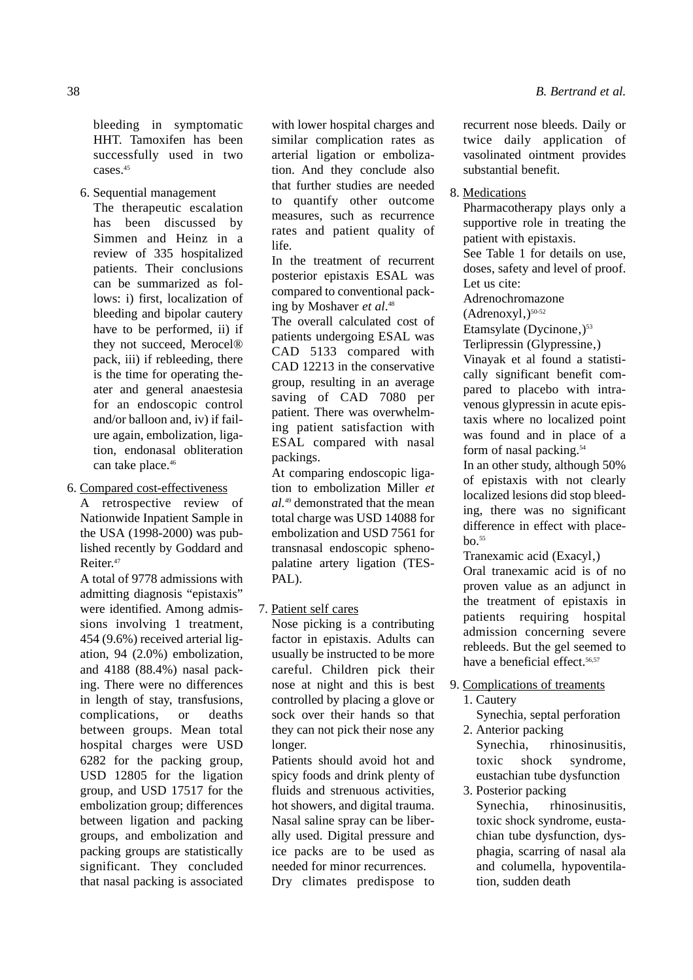bleeding in symptomatic HHT. Tamoxifen has been successfully used in two cases.<sup>45</sup>

6. Sequential management

The therapeutic escalation has been discussed by Simmen and Heinz in a review of 335 hospitalized patients. Their conclusions can be summarized as follows: i) first, localization of bleeding and bipolar cautery have to be performed, ii) if they not succeed, Merocel® pack, iii) if rebleeding, there is the time for operating theater and general anaestesia for an endoscopic control and/or balloon and, iv) if failure again, embolization, ligation, endonasal obliteration can take place.<sup>46</sup>

## 6. Compared cost-effectiveness

A retrospective review of Nationwide Inpatient Sample in the USA (1998-2000) was published recently by Goddard and Reiter.47

A total of 9778 admissions with admitting diagnosis "epistaxis" were identified. Among admissions involving 1 treatment, 454 (9.6%) received arterial ligation, 94 (2.0%) embolization, and 4188 (88.4%) nasal packing. There were no differences in length of stay, transfusions, complications, or deaths between groups. Mean total hospital charges were USD 6282 for the packing group, USD 12805 for the ligation group, and USD 17517 for the embolization group; differences between ligation and packing groups, and embolization and packing groups are statistically significant. They concluded that nasal packing is associated

with lower hospital charges and similar complication rates as arterial ligation or embolization. And they conclude also that further studies are needed to quantify other outcome measures, such as recurrence rates and patient quality of life.

In the treatment of recurrent posterior epistaxis ESAL was compared to conventional packing by Moshaver *et al*. 48

The overall calculated cost of patients undergoing ESAL was CAD 5133 compared with CAD 12213 in the conservative group, resulting in an average saving of CAD 7080 per patient. There was overwhelming patient satisfaction with ESAL compared with nasal packings.

At comparing endoscopic ligation to embolization Miller *et al.*<sup>49</sup> demonstrated that the mean total charge was USD 14088 for embolization and USD 7561 for transnasal endoscopic sphenopalatine artery ligation (TES-PAL).

## 7. Patient self cares

Nose picking is a contributing factor in epistaxis. Adults can usually be instructed to be more careful. Children pick their nose at night and this is best controlled by placing a glove or sock over their hands so that they can not pick their nose any longer.

Patients should avoid hot and spicy foods and drink plenty of fluids and strenuous activities, hot showers, and digital trauma. Nasal saline spray can be liberally used. Digital pressure and ice packs are to be used as needed for minor recurrences. Dry climates predispose to recurrent nose bleeds. Daily or twice daily application of vasolinated ointment provides substantial benefit.

8. Medications

Pharmacotherapy plays only a supportive role in treating the patient with epistaxis. See Table 1 for details on use, doses, safety and level of proof. Let us cite: Adrenochromazone  $(Adrenoxyl<sub>1</sub>)<sup>50-52</sup>$ Etamsylate (Dycinone,) $53$ Terlipressin (Glypressine,) Vinayak et al found a statistically significant benefit compared to placebo with intravenous glypressin in acute epistaxis where no localized point was found and in place of a form of nasal packing.<sup>54</sup> In an other study, although 50% of epistaxis with not clearly localized lesions did stop bleeding, there was no significant difference in effect with place $b$ <sup>55</sup> Tranexamic acid (Exacyl,) Oral tranexamic acid is of no proven value as an adjunct in the treatment of epistaxis in

patients requiring hospital admission concerning severe rebleeds. But the gel seemed to have a beneficial effect.<sup>56,57</sup>

- 9. Complications of treaments
	- 1. Cautery
	- Synechia, septal perforation 2. Anterior packing
		- Synechia, rhinosinusitis, toxic shock syndrome, eustachian tube dysfunction
	- 3. Posterior packing Synechia, rhinosinusitis, toxic shock syndrome, eustachian tube dysfunction, dysphagia, scarring of nasal ala and columella, hypoventilation, sudden death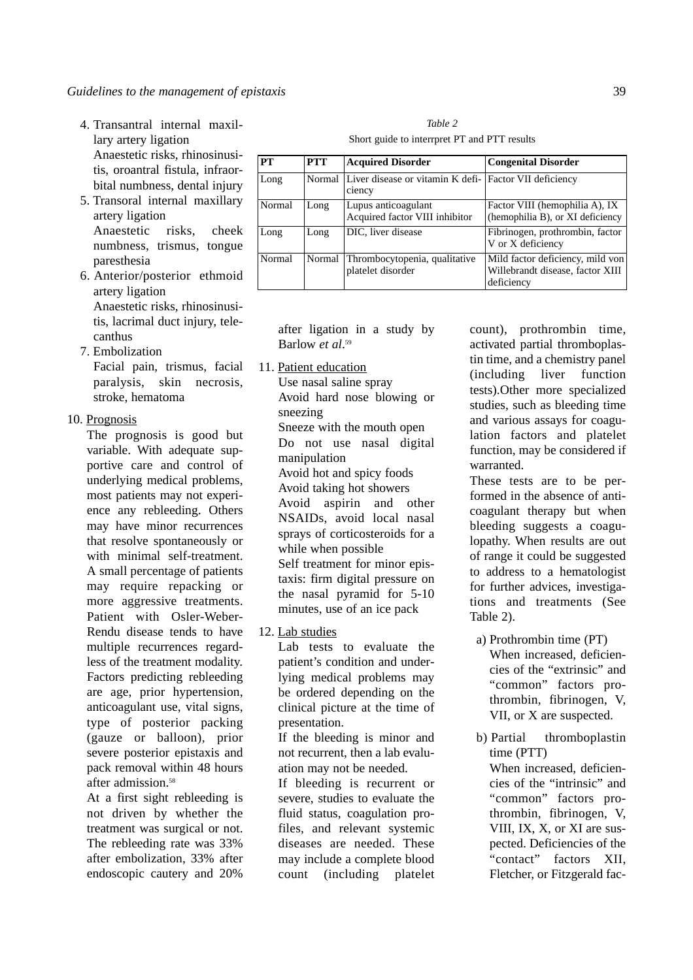- 4. Transantral internal maxillary artery ligation Anaestetic risks, rhinosinusitis, oroantral fistula, infraorbital numbness, dental injury
- 5. Transoral internal maxillary artery ligation Anaestetic risks, cheek numbness, trismus, tongue paresthesia
- 6. Anterior/posterior ethmoid artery ligation Anaestetic risks, rhinosinusitis, lacrimal duct injury, telecanthus
- 7. Embolization

Facial pain, trismus, facial paralysis, skin necrosis, stroke, hematoma

10. Prognosis

The prognosis is good but variable. With adequate supportive care and control of underlying medical problems, most patients may not experience any rebleeding. Others may have minor recurrences that resolve spontaneously or with minimal self-treatment. A small percentage of patients may require repacking or more aggressive treatments. Patient with Osler-Weber-Rendu disease tends to have multiple recurrences regardless of the treatment modality. Factors predicting rebleeding are age, prior hypertension, anticoagulant use, vital signs, type of posterior packing (gauze or balloon), prior severe posterior epistaxis and pack removal within 48 hours after admission.<sup>58</sup>

At a first sight rebleeding is not driven by whether the treatment was surgical or not. The rebleeding rate was 33% after embolization, 33% after endoscopic cautery and 20%

| PT     | <b>PTT</b> | <b>Acquired Disorder</b>                                         | <b>Congenital Disorder</b>                                                         |
|--------|------------|------------------------------------------------------------------|------------------------------------------------------------------------------------|
| Long   | Normal     | Liver disease or vitamin K defi- Factor VII deficiency<br>ciency |                                                                                    |
| Normal | Long       | Lupus anticoagulant<br>Acquired factor VIII inhibitor            | Factor VIII (hemophilia A), IX<br>(hemophilia B), or XI deficiency                 |
| Long   | Long       | DIC, liver disease                                               | Fibrinogen, prothrombin, factor<br>V or X deficiency                               |
| Normal | Normal     | Thrombocytopenia, qualitative<br>platelet disorder               | Mild factor deficiency, mild von<br>Willebrandt disease, factor XIII<br>deficiency |

*Table 2* Short guide to interrpret PT and PTT results

after ligation in a study by Barlow *et al*. 59

11. Patient education Use nasal saline spray Avoid hard nose blowing or sneezing Sneeze with the mouth open Do not use nasal digital manipulation Avoid hot and spicy foods Avoid taking hot showers Avoid aspirin and other NSAIDs, avoid local nasal sprays of corticosteroids for a while when possible Self treatment for minor epistaxis: firm digital pressure on the nasal pyramid for 5-10 minutes, use of an ice pack

12. Lab studies

Lab tests to evaluate the patient's condition and underlying medical problems may be ordered depending on the clinical picture at the time of presentation.

If the bleeding is minor and not recurrent, then a lab evaluation may not be needed.

If bleeding is recurrent or severe, studies to evaluate the fluid status, coagulation profiles, and relevant systemic diseases are needed. These may include a complete blood count (including platelet

count), prothrombin time, activated partial thromboplastin time, and a chemistry panel (including liver function tests).Other more specialized studies, such as bleeding time and various assays for coagulation factors and platelet function, may be considered if warranted.

These tests are to be performed in the absence of anticoagulant therapy but when bleeding suggests a coagulopathy. When results are out of range it could be suggested to address to a hematologist for further advices, investigations and treatments (See Table 2).

- a) Prothrombin time (PT) When increased, deficiencies of the "extrinsic" and "common" factors prothrombin, fibrinogen, V, VII, or X are suspected.
- b) Partial thromboplastin time (PTT) When increased, deficiencies of the "intrinsic" and

"common" factors prothrombin, fibrinogen, V, VIII, IX, X, or XI are suspected. Deficiencies of the "contact" factors XII, Fletcher, or Fitzgerald fac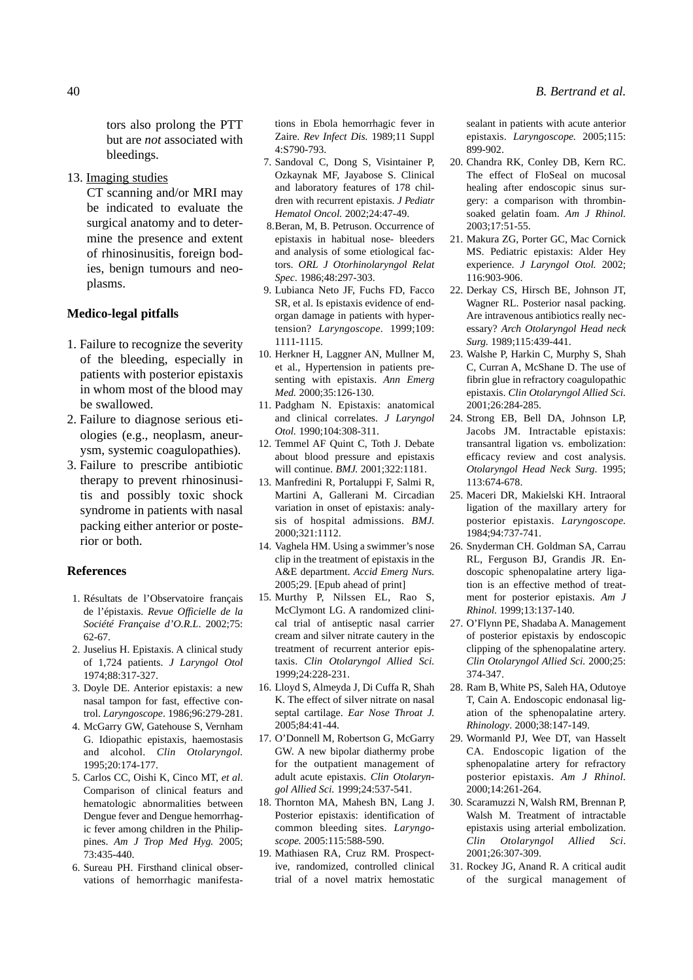tors also prolong the PTT but are *not* associated with bleedings.

13. Imaging studies

CT scanning and/or MRI may be indicated to evaluate the surgical anatomy and to determine the presence and extent of rhinosinusitis, foreign bodies, benign tumours and neoplasms.

## **Medico-legal pitfalls**

- 1. Failure to recognize the severity of the bleeding, especially in patients with posterior epistaxis in whom most of the blood may be swallowed.
- 2. Failure to diagnose serious etiologies (e.g., neoplasm, aneurysm, systemic coagulopathies).
- 3. Failure to prescribe antibiotic therapy to prevent rhinosinusitis and possibly toxic shock syndrome in patients with nasal packing either anterior or posterior or both.

#### **References**

- 1. Résultats de l'Observatoire français de l'épistaxis. *Revue Officielle de la Société Française d'O.R.L*. 2002;75: 62-67.
- 2. Juselius H. Epistaxis. A clinical study of 1,724 patients. *J Laryngol Otol* 1974;88:317-327.
- 3. Doyle DE. Anterior epistaxis: a new nasal tampon for fast, effective control. *Laryngoscope*. 1986;96:279-281.
- 4. McGarry GW, Gatehouse S, Vernham G. Idiopathic epistaxis, haemostasis and alcohol. *Clin Otolaryngol.* 1995;20:174-177.
- 5. Carlos CC, Oishi K, Cinco MT, *et al*. Comparison of clinical featurs and hematologic abnormalities between Dengue fever and Dengue hemorrhagic fever among children in the Philippines. *Am J Trop Med Hyg.* 2005; 73:435-440.
- 6. Sureau PH. Firsthand clinical observations of hemorrhagic manifesta-

tions in Ebola hemorrhagic fever in Zaire. *Rev Infect Dis.* 1989;11 Suppl 4:S790-793.

- 7. Sandoval C, Dong S, Visintainer P, Ozkaynak MF, Jayabose S. Clinical and laboratory features of 178 children with recurrent epistaxis. *J Pediatr Hematol Oncol.* 2002;24:47-49.
- 8.Beran, M, B. Petruson. Occurrence of epistaxis in habitual nose- bleeders and analysis of some etiological factors. *ORL J Otorhinolaryngol Relat Spec*. 1986;48:297-303.
- 9. Lubianca Neto JF, Fuchs FD, Facco SR, et al. Is epistaxis evidence of endorgan damage in patients with hypertension? *Laryngoscope*. 1999;109: 1111-1115.
- 10. Herkner H, Laggner AN, Mullner M, et al., Hypertension in patients presenting with epistaxis. *Ann Emerg Med.* 2000;35:126-130.
- 11. Padgham N. Epistaxis: anatomical and clinical correlates. *J Laryngol Otol.* 1990;104:308-311.
- 12. Temmel AF Quint C, Toth J. Debate about blood pressure and epistaxis will continue. *BMJ.* 2001;322:1181.
- 13. Manfredini R, Portaluppi F, Salmi R, Martini A, Gallerani M. Circadian variation in onset of epistaxis: analysis of hospital admissions. *BMJ.* 2000;321:1112.
- 14. Vaghela HM. Using a swimmer's nose clip in the treatment of epistaxis in the A&E department. *Accid Emerg Nurs.* 2005;29. [Epub ahead of print]
- 15. Murthy P, Nilssen EL, Rao S, McClymont LG. A randomized clinical trial of antiseptic nasal carrier cream and silver nitrate cautery in the treatment of recurrent anterior epistaxis. *Clin Otolaryngol Allied Sci.* 1999;24:228-231.
- 16. Lloyd S, Almeyda J, Di Cuffa R, Shah K. The effect of silver nitrate on nasal septal cartilage. *Ear Nose Throat J.* 2005;84:41-44.
- 17. O'Donnell M, Robertson G, McGarry GW. A new bipolar diathermy probe for the outpatient management of adult acute epistaxis. *Clin Otolaryngol Allied Sci.* 1999;24:537-541.
- 18. Thornton MA, Mahesh BN, Lang J. Posterior epistaxis: identification of common bleeding sites. *Laryngoscope.* 2005:115:588-590.
- 19. Mathiasen RA, Cruz RM. Prospective, randomized, controlled clinical trial of a novel matrix hemostatic

sealant in patients with acute anterior epistaxis. *Laryngoscope.* 2005;115: 899-902.

- 20. Chandra RK, Conley DB, Kern RC. The effect of FloSeal on mucosal healing after endoscopic sinus surgery: a comparison with thrombinsoaked gelatin foam. *Am J Rhinol.* 2003;17:51-55.
- 21. Makura ZG, Porter GC, Mac Cornick MS. Pediatric epistaxis: Alder Hey experience. *J Laryngol Otol.* 2002; 116:903-906.
- 22. Derkay CS, Hirsch BE, Johnson JT, Wagner RL. Posterior nasal packing. Are intravenous antibiotics really necessary? *Arch Otolaryngol Head neck Surg.* 1989;115:439-441.
- 23. Walshe P, Harkin C, Murphy S, Shah C, Curran A, McShane D. The use of fibrin glue in refractory coagulopathic epistaxis. *Clin Otolaryngol Allied Sci.* 2001;26:284-285.
- 24. Strong EB, Bell DA, Johnson LP, Jacobs JM. Intractable epistaxis: transantral ligation vs. embolization: efficacy review and cost analysis. *Otolaryngol Head Neck Surg*. 1995; 113:674-678.
- 25. Maceri DR, Makielski KH. Intraoral ligation of the maxillary artery for posterior epistaxis. *Laryngoscope.* 1984;94:737-741.
- 26. Snyderman CH. Goldman SA, Carrau RL, Ferguson BJ, Grandis JR. Endoscopic sphenopalatine artery ligation is an effective method of treatment for posterior epistaxis. *Am J Rhinol.* 1999;13:137-140.
- 27. O'Flynn PE, Shadaba A. Management of posterior epistaxis by endoscopic clipping of the sphenopalatine artery. *Clin Otolaryngol Allied Sci.* 2000;25: 374-347.
- 28. Ram B, White PS, Saleh HA, Odutoye T, Cain A. Endoscopic endonasal ligation of the sphenopalatine artery. *Rhinology*. 2000;38:147-149.
- 29. Wormanld PJ, Wee DT, van Hasselt CA. Endoscopic ligation of the sphenopalatine artery for refractory posterior epistaxis. *Am J Rhinol.* 2000;14:261-264.
- 30. Scaramuzzi N, Walsh RM, Brennan P, Walsh M. Treatment of intractable epistaxis using arterial embolization. *Clin Otolaryngol Allied Sci*. 2001;26:307-309.
- 31. Rockey JG, Anand R. A critical audit of the surgical management of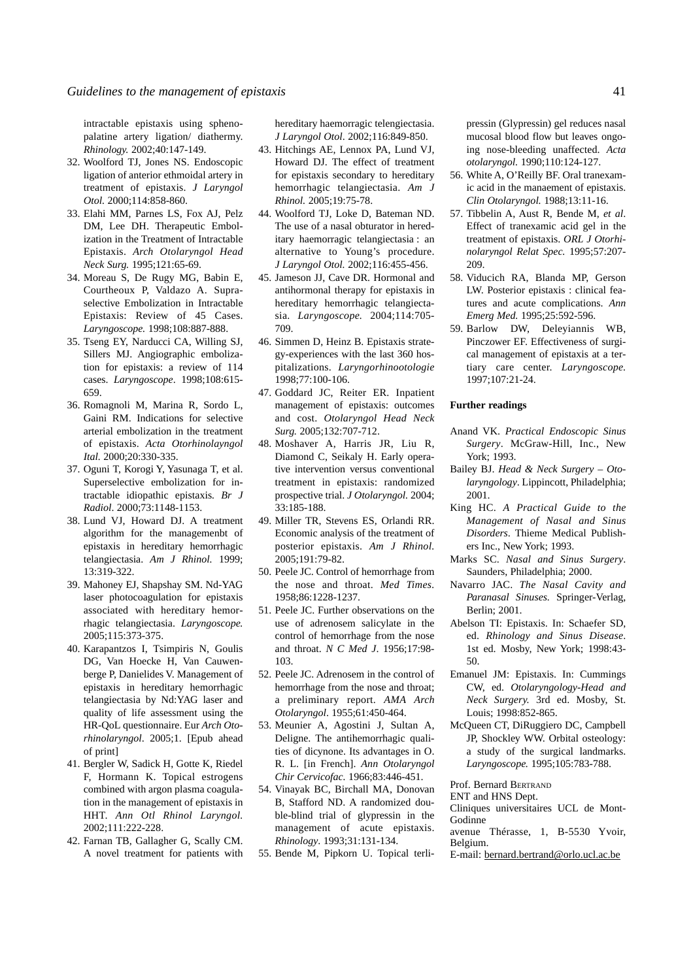intractable epistaxis using sphenopalatine artery ligation/ diathermy. *Rhinology.* 2002;40:147-149.

- 32. Woolford TJ, Jones NS. Endoscopic ligation of anterior ethmoidal artery in treatment of epistaxis. *J Laryngol Otol.* 2000;114:858-860.
- 33. Elahi MM, Parnes LS, Fox AJ, Pelz DM, Lee DH. Therapeutic Embolization in the Treatment of Intractable Epistaxis. *Arch Otolaryngol Head Neck Surg.* 1995;121:65-69.
- 34. Moreau S, De Rugy MG, Babin E, Courtheoux P, Valdazo A. Supraselective Embolization in Intractable Epistaxis: Review of 45 Cases. *Laryngoscope.* 1998;108:887-888.
- 35. Tseng EY, Narducci CA, Willing SJ, Sillers MJ. Angiographic embolization for epistaxis: a review of 114 cases. *Laryngoscope*. 1998;108:615- 659.
- 36. Romagnoli M, Marina R, Sordo L, Gaini RM. Indications for selective arterial embolization in the treatment of epistaxis. *Acta Otorhinolayngol Ital.* 2000;20:330-335.
- 37. Oguni T, Korogi Y, Yasunaga T, et al. Superselective embolization for intractable idiopathic epistaxis*. Br J Radiol*. 2000;73:1148-1153.
- 38. Lund VJ, Howard DJ. A treatment algorithm for the managemenbt of epistaxis in hereditary hemorrhagic telangiectasia. *Am J Rhinol.* 1999; 13:319-322.
- 39. Mahoney EJ, Shapshay SM. Nd-YAG laser photocoagulation for epistaxis associated with hereditary hemorrhagic telangiectasia. *Laryngoscope.* 2005;115:373-375.
- 40. Karapantzos I, Tsimpiris N, Goulis DG, Van Hoecke H, Van Cauwenberge P, Danielides V. Management of epistaxis in hereditary hemorrhagic telangiectasia by Nd:YAG laser and quality of life assessment using the HR-QoL questionnaire. Eur *Arch Otorhinolaryngol*. 2005;1. [Epub ahead of print]
- 41. Bergler W, Sadick H, Gotte K, Riedel F, Hormann K. Topical estrogens combined with argon plasma coagulation in the management of epistaxis in HHT. *Ann Otl Rhinol Laryngol.* 2002;111:222-228.
- 42. Farnan TB, Gallagher G, Scally CM. A novel treatment for patients with

hereditary haemorragic telengiectasia. *J Laryngol Otol*. 2002;116:849-850.

- 43. Hitchings AE, Lennox PA, Lund VJ, Howard DJ. The effect of treatment for epistaxis secondary to hereditary hemorrhagic telangiectasia. *Am J Rhinol.* 2005;19:75-78.
- 44. Woolford TJ, Loke D, Bateman ND. The use of a nasal obturator in hereditary haemorragic telangiectasia : an alternative to Young's procedure. *J Laryngol Otol.* 2002;116:455-456.
- 45. Jameson JJ, Cave DR. Hormonal and antihormonal therapy for epistaxis in hereditary hemorrhagic telangiectasia. *Laryngoscope.* 2004;114:705- 709.
- 46. Simmen D, Heinz B. Epistaxis strategy-experiences with the last 360 hospitalizations. *Laryngorhinootologie* 1998;77:100-106.
- 47. Goddard JC, Reiter ER. Inpatient management of epistaxis: outcomes and cost. *Otolaryngol Head Neck Surg.* 2005;132:707-712.
- 48. Moshaver A, Harris JR, Liu R, Diamond C, Seikaly H. Early operative intervention versus conventional treatment in epistaxis: randomized prospective trial. *J Otolaryngol.* 2004; 33:185-188.
- 49. Miller TR, Stevens ES, Orlandi RR. Economic analysis of the treatment of posterior epistaxis. *Am J Rhinol.* 2005;191:79-82.
- 50. Peele JC. Control of hemorrhage from the nose and throat. *Med Times.* 1958;86:1228-1237.
- 51. Peele JC. Further observations on the use of adrenosem salicylate in the control of hemorrhage from the nose and throat. *N C Med J*. 1956;17:98- 103.
- 52. Peele JC. Adrenosem in the control of hemorrhage from the nose and throat; a preliminary report. *AMA Arch Otolaryngol*. 1955;61:450-464.
- 53. Meunier A, Agostini J, Sultan A, Deligne. The antihemorrhagic qualities of dicynone. Its advantages in O. R. L. [in French]. *Ann Otolaryngol Chir Cervicofac.* 1966;83:446-451.
- 54. Vinayak BC, Birchall MA, Donovan B, Stafford ND. A randomized double-blind trial of glypressin in the management of acute epistaxis. *Rhinology*. 1993;31:131-134.
- 55. Bende M, Pipkorn U. Topical terli-

pressin (Glypressin) gel reduces nasal mucosal blood flow but leaves ongoing nose-bleeding unaffected. *Acta otolaryngol.* 1990;110:124-127.

- 56. White A, O'Reilly BF. Oral tranexamic acid in the manaement of epistaxis. *Clin Otolaryngol.* 1988;13:11-16.
- 57. Tibbelin A, Aust R, Bende M, *et al*. Effect of tranexamic acid gel in the treatment of epistaxis. *ORL J Otorhinolaryngol Relat Spec.* 1995;57:207- 209.
- 58. Viducich RA, Blanda MP, Gerson LW. Posterior epistaxis : clinical features and acute complications. *Ann Emerg Med.* 1995;25:592-596.
- 59. Barlow DW, Deleyiannis WB, Pinczower EF. Effectiveness of surgical management of epistaxis at a tertiary care center. *Laryngoscope.* 1997;107:21-24.

#### **Further readings**

- Anand VK. *Practical Endoscopic Sinus Surgery*. McGraw-Hill, Inc., New York; 1993.
- Bailey BJ. *Head & Neck Surgery Otolaryngology*. Lippincott, Philadelphia; 2001.
- King HC. *A Practical Guide to the Management of Nasal and Sinus Disorders*. Thieme Medical Publishers Inc., New York; 1993.
- Marks SC. *Nasal and Sinus Surgery*. Saunders, Philadelphia; 2000.
- Navarro JAC. *The Nasal Cavity and Paranasal Sinuses.* Springer-Verlag, Berlin; 2001.
- Abelson TI: Epistaxis. In: Schaefer SD, ed. *Rhinology and Sinus Disease*. 1st ed. Mosby, New York; 1998:43- 50.
- Emanuel JM: Epistaxis. In: Cummings CW, ed. *Otolaryngology-Head and Neck Surgery.* 3rd ed. Mosby, St. Louis; 1998:852-865.
- McQueen CT, DiRuggiero DC, Campbell JP, Shockley WW. Orbital osteology: a study of the surgical landmarks. *Laryngoscope.* 1995;105:783-788.

Prof. Bernard BERTRAND

ENT and HNS Dept.

Cliniques universitaires UCL de Mont-Godinne

avenue Thérasse, 1, B-5530 Yvoir, Belgium.

E-mail: bernard.bertrand@orlo.ucl.ac.be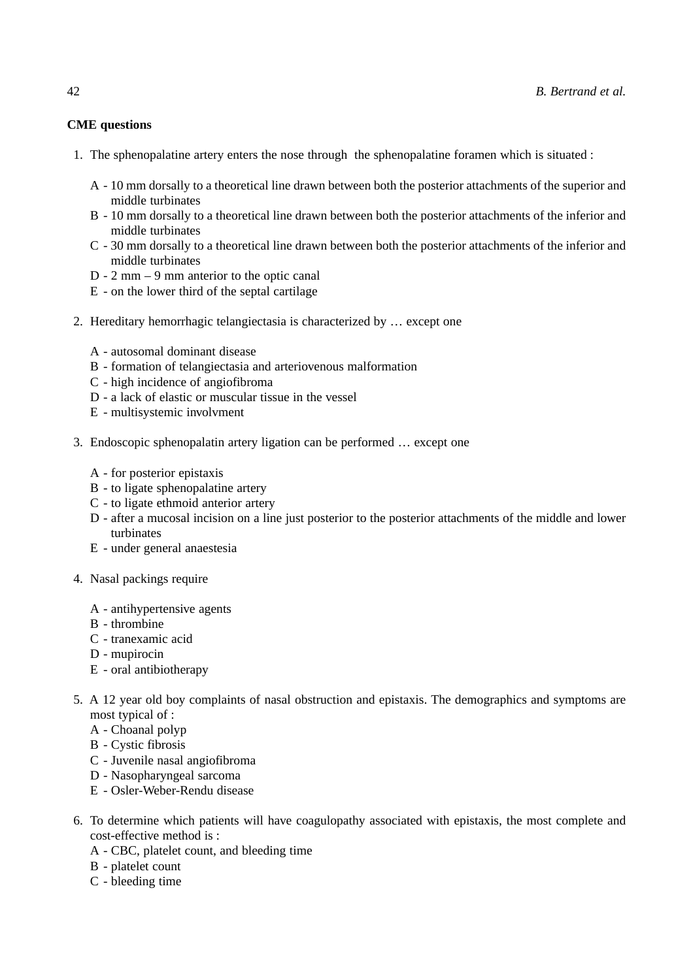## **CME questions**

- 1. The sphenopalatine artery enters the nose through the sphenopalatine foramen which is situated :
	- A 10 mm dorsally to a theoretical line drawn between both the posterior attachments of the superior and middle turbinates
	- B 10 mm dorsally to a theoretical line drawn between both the posterior attachments of the inferior and middle turbinates
	- C 30 mm dorsally to a theoretical line drawn between both the posterior attachments of the inferior and middle turbinates
	- D 2 mm 9 mm anterior to the optic canal
	- E on the lower third of the septal cartilage
- 2. Hereditary hemorrhagic telangiectasia is characterized by … except one
	- A autosomal dominant disease
	- B formation of telangiectasia and arteriovenous malformation
	- C high incidence of angiofibroma
	- D a lack of elastic or muscular tissue in the vessel
	- E multisystemic involvment
- 3. Endoscopic sphenopalatin artery ligation can be performed … except one
	- A for posterior epistaxis
	- B to ligate sphenopalatine artery
	- C to ligate ethmoid anterior artery
	- D after a mucosal incision on a line just posterior to the posterior attachments of the middle and lower turbinates
	- E under general anaestesia
- 4. Nasal packings require
	- A antihypertensive agents
	- B thrombine
	- C tranexamic acid
	- D mupirocin
	- E oral antibiotherapy
- 5. A 12 year old boy complaints of nasal obstruction and epistaxis. The demographics and symptoms are most typical of :
	- A Choanal polyp
	- B Cystic fibrosis
	- C Juvenile nasal angiofibroma
	- D Nasopharyngeal sarcoma
	- E Osler-Weber-Rendu disease
- 6. To determine which patients will have coagulopathy associated with epistaxis, the most complete and cost-effective method is :
	- A CBC, platelet count, and bleeding time
	- B platelet count
	- C bleeding time